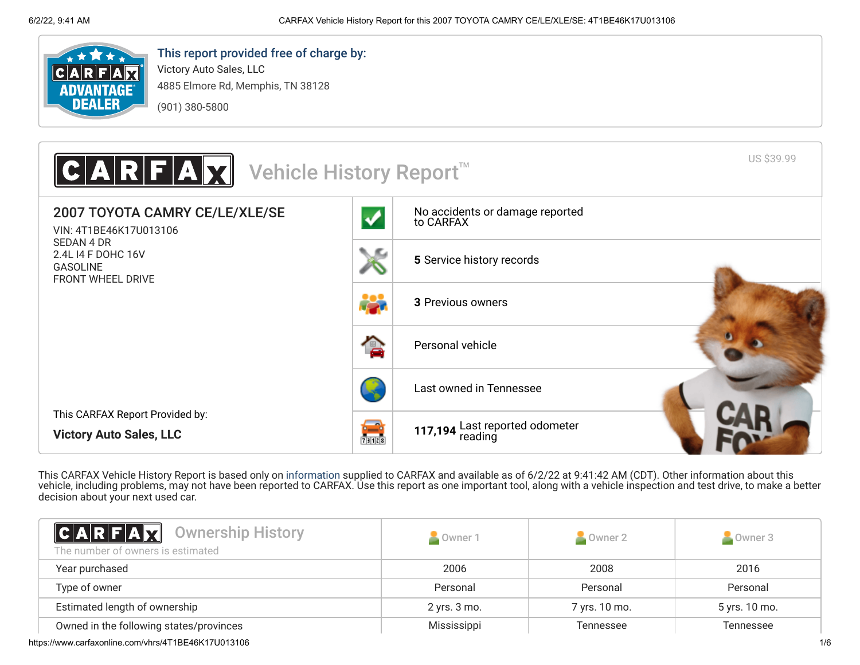

# This report provided free of charge by:

Victory Auto Sales, LLC 4885 Elmore Rd, Memphis, TN 38128 (901) 380-5800



This CARFAX Vehicle History Report is based only on [information](http://www.carfax.com/company/vhr-data-sources) supplied to CARFAX and available as of 6/2/22 at 9:41:42 AM (CDT). Other information about this vehicle, including problems, may not have been reported to CARFAX. Use this report as one important tool, along with a vehicle inspection and test drive, to make a better decision about your next used car.

<span id="page-0-0"></span>

| <b>CARFAX</b> Ownership History<br>The number of owners is estimated | Owner 1      | Owner 2       | Owner 3       |
|----------------------------------------------------------------------|--------------|---------------|---------------|
| Year purchased                                                       | 2006         | 2008          | 2016          |
| Type of owner                                                        | Personal     | Personal      | Personal      |
| Estimated length of ownership                                        | 2 yrs. 3 mo. | 7 yrs. 10 mo. | 5 yrs. 10 mo. |
| Owned in the following states/provinces                              | Mississippi  | Tennessee     | Tennessee     |

https://www.carfaxonline.com/vhrs/4T1BE46K17U013106 1/6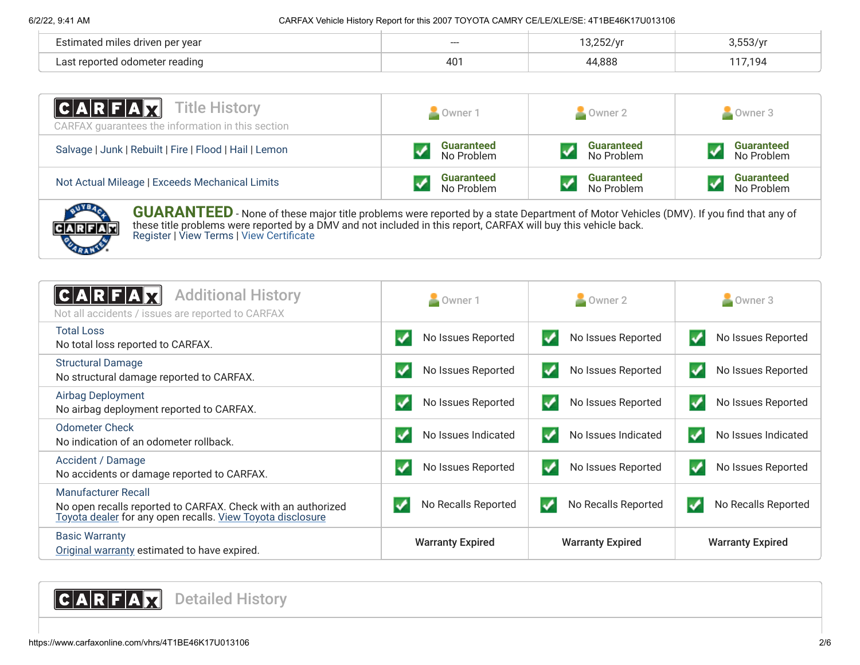| Estimated miles driven per year        | --- | $\frac{1}{2}$ |       |
|----------------------------------------|-----|---------------|-------|
| l odometer readıng<br>ാറ†<br>∵ran∩rtad | 401 | 44,888        | , 194 |

| <b>CARFAX</b> Title History<br>CARFAX quarantees the information in this section | Owner 1                         | Owner 2                         | Owner 3                         |
|----------------------------------------------------------------------------------|---------------------------------|---------------------------------|---------------------------------|
| Salvage   Junk   Rebuilt   Fire   Flood   Hail   Lemon                           | <b>Guaranteed</b><br>No Problem | <b>Guaranteed</b><br>No Problem | <b>Guaranteed</b><br>No Problem |
| Not Actual Mileage   Exceeds Mechanical Limits                                   | <b>Guaranteed</b><br>No Problem | <b>Guaranteed</b><br>No Problem | <b>Guaranteed</b><br>No Problem |



**GUARANTEED** - None of these major title problems were reported by a state Department of Motor Vehicles (DMV). If you find that any of these title problems were reported by a DMV and not included in this report, CARFAX will buy this vehicle back. [Register](https://www.carfax.com/Service/bbg) | [View Terms](http://www.carfaxonline.com/legal/bbgTerms) | [View Certificate](https://www.carfaxonline.com/vhrs/4T1BE46K17U013106)

<span id="page-1-1"></span><span id="page-1-0"></span>

| <b>Additional History</b><br>CARFA<br>Not all accidents / issues are reported to CARFAX                                                           | ×<br>Owner 1            | Owner 2                  | Owner 3                  |
|---------------------------------------------------------------------------------------------------------------------------------------------------|-------------------------|--------------------------|--------------------------|
| <b>Total Loss</b>                                                                                                                                 | No Issues Reported      | No Issues Reported       | No Issues Reported       |
| No total loss reported to CARFAX.                                                                                                                 | ✔                       | √                        | v                        |
| <b>Structural Damage</b>                                                                                                                          | No Issues Reported      | ✓                        | No Issues Reported       |
| No structural damage reported to CARFAX.                                                                                                          | ✔                       | No Issues Reported       | v                        |
| <b>Airbag Deployment</b>                                                                                                                          | No Issues Reported      | ✓                        | No Issues Reported       |
| No airbag deployment reported to CARFAX.                                                                                                          | ↵                       | No Issues Reported       | v                        |
| <b>Odometer Check</b>                                                                                                                             | No Issues Indicated     | √                        | √                        |
| No indication of an odometer rollback.                                                                                                            | ✔                       | No Issues Indicated      | No Issues Indicated      |
| Accident / Damage                                                                                                                                 | No Issues Reported      | ✓                        | No Issues Reported       |
| No accidents or damage reported to CARFAX.                                                                                                        | ✓                       | No Issues Reported       | v                        |
| Manufacturer Recall<br>No open recalls reported to CARFAX. Check with an authorized<br>Toyota dealer for any open recalls. View Toyota disclosure | No Recalls Reported     | v<br>No Recalls Reported | No Recalls Reported<br>✔ |
| <b>Basic Warranty</b><br>Original warranty estimated to have expired.                                                                             | <b>Warranty Expired</b> | <b>Warranty Expired</b>  | <b>Warranty Expired</b>  |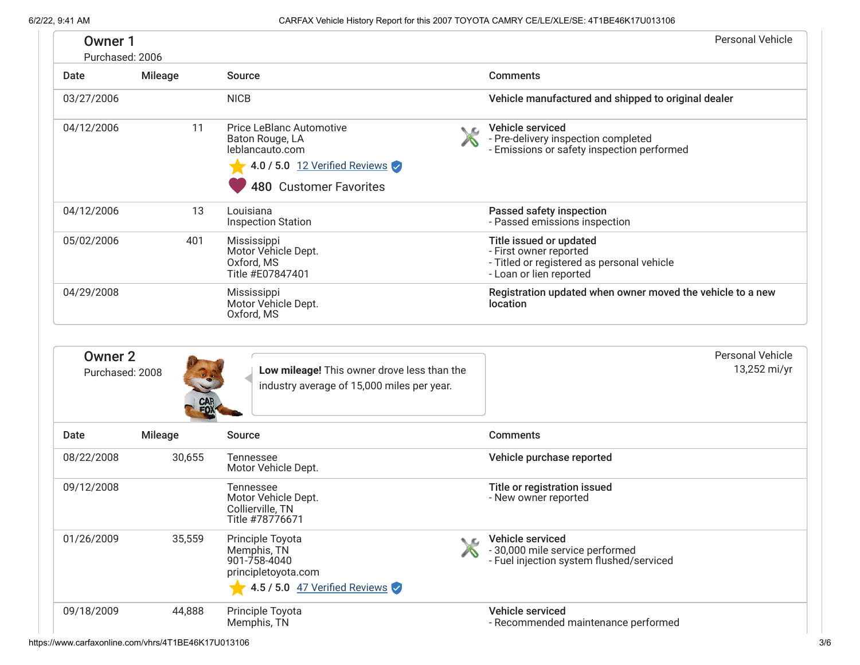| Owner 1<br>Purchased: 2006        |                |                                                                                           | <b>Personal Vehicle</b>                                                                                                    |
|-----------------------------------|----------------|-------------------------------------------------------------------------------------------|----------------------------------------------------------------------------------------------------------------------------|
| Date                              | <b>Mileage</b> | <b>Source</b>                                                                             | <b>Comments</b>                                                                                                            |
| 03/27/2006                        |                | <b>NICB</b>                                                                               | Vehicle manufactured and shipped to original dealer                                                                        |
| 04/12/2006                        | 11             | Price LeBlanc Automotive<br>◟உ<br>Baton Rouge, LA<br>leblancauto.com                      | Vehicle serviced<br>- Pre-delivery inspection completed<br>- Emissions or safety inspection performed                      |
|                                   |                | 4.0 / 5.0 12 Verified Reviews<br><b>480 Customer Favorites</b>                            |                                                                                                                            |
| 04/12/2006                        | 13             | Louisiana<br><b>Inspection Station</b>                                                    | Passed safety inspection<br>- Passed emissions inspection                                                                  |
| 05/02/2006                        | 401            | Mississippi<br>Motor Vehicle Dept.<br>Oxford, MS<br>Title #E07847401                      | Title issued or updated<br>- First owner reported<br>- Titled or registered as personal vehicle<br>- Loan or lien reported |
| 04/29/2008                        |                | Mississippi<br>Motor Vehicle Dept.<br>Oxford, MS                                          | Registration updated when owner moved the vehicle to a new<br>location                                                     |
|                                   |                |                                                                                           |                                                                                                                            |
| <b>Owner 2</b><br>Purchased: 2008 |                | Low mileage! This owner drove less than the<br>industry average of 15,000 miles per year. | <b>Personal Vehicle</b><br>13,252 mi/yr                                                                                    |
| Date                              | <b>Mileage</b> | <b>Source</b>                                                                             | <b>Comments</b>                                                                                                            |
| 08/22/2008                        | 30,655         | Tennessee<br>Motor Vehicle Dept.                                                          | Vehicle purchase reported                                                                                                  |
| 09/12/2008                        |                | Tennessee<br>Motor Vehicle Dept.<br>Collierville, TN<br>Title #78776671                   | Title or registration issued<br>- New owner reported                                                                       |
| 01/26/2009                        | 35,559         | Principle Toyota<br>LΩ<br>Memphis, TN<br>901-758-4040<br>principletoyota.com              | Vehicle serviced<br>- 30,000 mile service performed<br>- Fuel injection system flushed/serviced                            |
|                                   |                | 4.5 / 5.0 47 Verified Reviews                                                             |                                                                                                                            |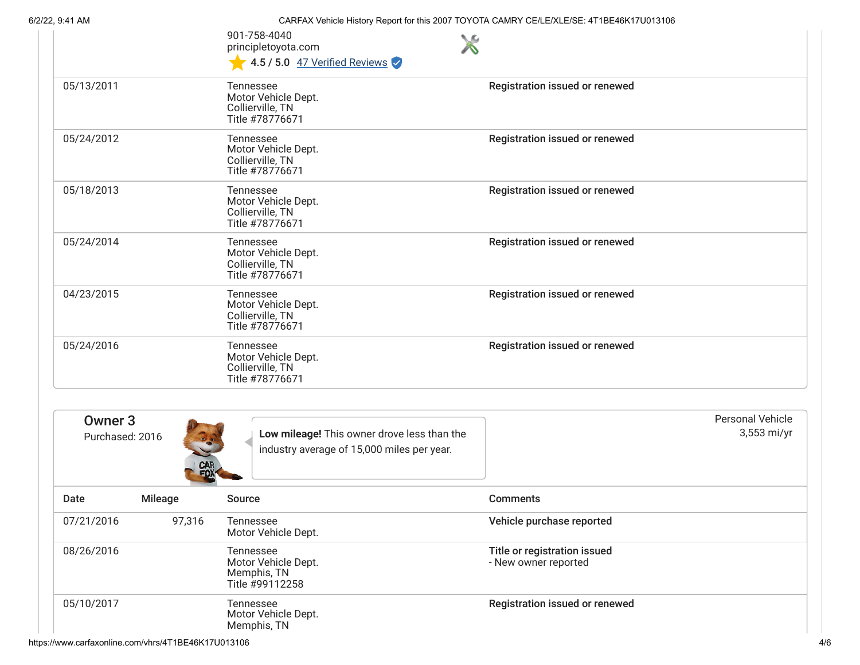6/2/22, 9:41 AM CARFAX Vehicle History Report for this 2007 TOYOTA CAMRY CE/LE/XLE/SE: 4T1BE46K17U013106

901-758-4040 principletoyota.com

|                                       |                         | 901-758-4040<br><b>NG</b><br>principletoyota.com<br>4.5 / 5.0 47 Verified Reviews         |                                                      |                                        |
|---------------------------------------|-------------------------|-------------------------------------------------------------------------------------------|------------------------------------------------------|----------------------------------------|
| 05/13/2011                            |                         | <b>Tennessee</b><br>Motor Vehicle Dept.<br>Collierville, TN<br>Title #78776671            | Registration issued or renewed                       |                                        |
| 05/24/2012                            |                         | <b>Tennessee</b><br>Motor Vehicle Dept.<br>Collierville, TN<br>Title #78776671            | Registration issued or renewed                       |                                        |
| 05/18/2013                            |                         | Tennessee<br>Motor Vehicle Dept.<br>Collierville, TN<br>Title #78776671                   | Registration issued or renewed                       |                                        |
| 05/24/2014                            |                         | Tennessee<br>Motor Vehicle Dept.<br>Collierville, TN<br>Title #78776671                   | Registration issued or renewed                       |                                        |
| 04/23/2015                            |                         | Tennessee<br>Motor Vehicle Dept.<br>Collierville, TN<br>Title #78776671                   | Registration issued or renewed                       |                                        |
| 05/24/2016                            |                         | Tennessee<br>Motor Vehicle Dept.<br>Collierville, TN<br>Title #78776671                   | Registration issued or renewed                       |                                        |
| Owner <sub>3</sub><br>Purchased: 2016 | CAR<br>FOX <sup>1</sup> | Low mileage! This owner drove less than the<br>industry average of 15,000 miles per year. |                                                      | <b>Personal Vehicle</b><br>3,553 mi/yr |
| Date                                  | Mileage                 | Source                                                                                    | <b>Comments</b>                                      |                                        |
| 07/21/2016                            | 97,316                  | Tennessee<br>Motor Vehicle Dept.                                                          | Vehicle purchase reported                            |                                        |
| 08/26/2016                            |                         | Tennessee<br>Motor Vehicle Dept.<br>Memphis, TN<br>Title #99112258                        | Title or registration issued<br>- New owner reported |                                        |
| 05/10/2017                            |                         | Tennessee<br>Motor Vehicle Dept.<br>Memphis, TN                                           | Registration issued or renewed                       |                                        |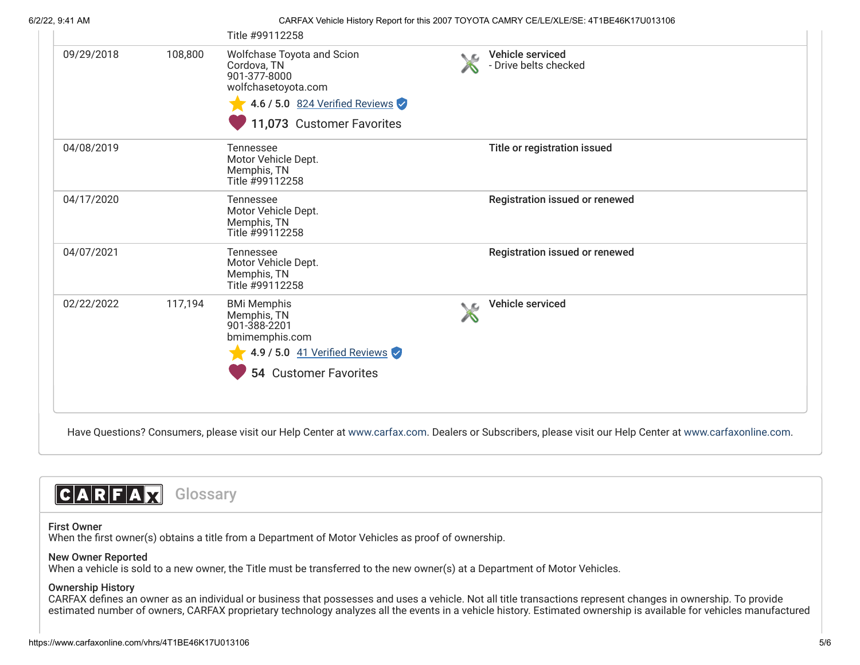#### 6/2/22, 9:41 AM CARFAX Vehicle History Report for this 2007 TOYOTA CAMRY CE/LE/XLE/SE: 4T1BE46K17U013106

| 09/29/2018 | 108,800 | Wolfchase Toyota and Scion<br>Cordova, TN<br>901-377-8000<br>wolfchasetoyota.com                                              | N. Ka | Vehicle serviced<br>- Drive belts checked |
|------------|---------|-------------------------------------------------------------------------------------------------------------------------------|-------|-------------------------------------------|
|            |         | 4.6 / 5.0 824 Verified Reviews                                                                                                |       |                                           |
|            |         | 11,073 Customer Favorites                                                                                                     |       |                                           |
| 04/08/2019 |         | Tennessee<br>Motor Vehicle Dept.<br>Memphis, TN<br>Title #99112258                                                            |       | Title or registration issued              |
| 04/17/2020 |         | Tennessee<br>Motor Vehicle Dept.<br>Memphis, TN<br>Title #99112258                                                            |       | Registration issued or renewed            |
| 04/07/2021 |         | Tennessee<br>Motor Vehicle Dept.<br>Memphis, TN<br>Title #99112258                                                            |       | Registration issued or renewed            |
| 02/22/2022 | 117,194 | <b>BMi Memphis</b><br>Memphis, TN<br>901-388-2201<br>bmimemphis.com<br>4.9 / 5.0 41 Verified Reviews<br>54 Customer Favorites | NG    | Vehicle serviced                          |

<span id="page-4-0"></span>Have Questions? Consumers, please visit our Help Center at [www.carfax.com](http://www.carfax.com/help). Dealers or Subscribers, please visit our Help Center at [www.carfaxonline.com](http://www.carfaxonline.com/).



## First Owner

When the first owner(s) obtains a title from a Department of Motor Vehicles as proof of ownership.

# New Owner Reported

When a vehicle is sold to a new owner, the Title must be transferred to the new owner(s) at a Department of Motor Vehicles.

## Ownership History

CARFAX defines an owner as an individual or business that possesses and uses a vehicle. Not all title transactions represent changes in ownership. To provide estimated number of owners, CARFAX proprietary technology analyzes all the events in a vehicle history. Estimated ownership is available for vehicles manufactured